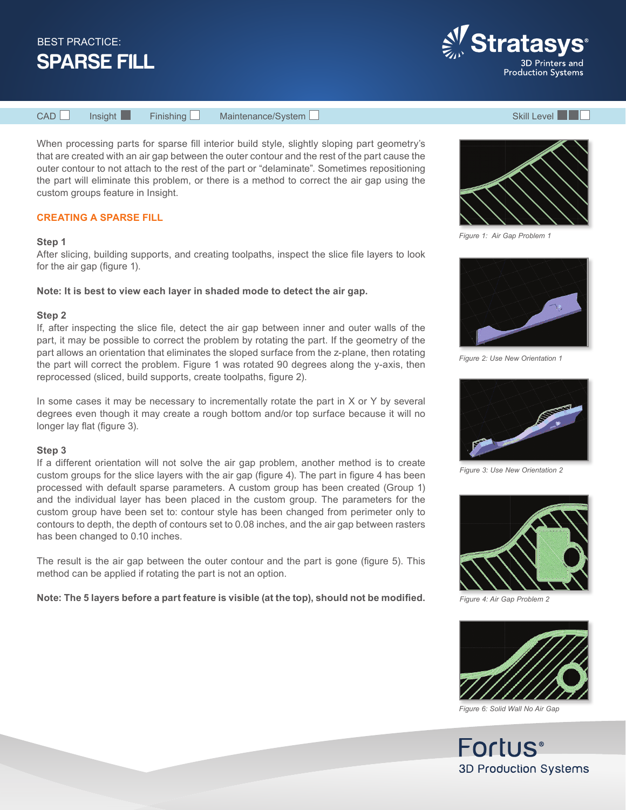



CAD Insight Finishing Maintenance/System Skill Level Skill Level

When processing parts for sparse fill interior build style, slightly sloping part geometry's that are created with an air gap between the outer contour and the rest of the part cause the outer contour to not attach to the rest of the part or "delaminate". Sometimes repositioning the part will eliminate this problem, or there is a method to correct the air gap using the custom groups feature in Insight.

# **CREATING A SPARSE FILL**

## **Step 1**

After slicing, building supports, and creating toolpaths, inspect the slice file layers to look for the air gap (figure 1).

**Note: It is best to view each layer in shaded mode to detect the air gap.**

## **Step 2**

If, after inspecting the slice file, detect the air gap between inner and outer walls of the part, it may be possible to correct the problem by rotating the part. If the geometry of the part allows an orientation that eliminates the sloped surface from the z-plane, then rotating the part will correct the problem. Figure 1 was rotated 90 degrees along the y-axis, then reprocessed (sliced, build supports, create toolpaths, figure 2).

In some cases it may be necessary to incrementally rotate the part in  $X$  or  $Y$  by several degrees even though it may create a rough bottom and/or top surface because it will no longer lay flat (figure 3).

## **Step 3**

If a different orientation will not solve the air gap problem, another method is to create custom groups for the slice layers with the air gap (figure 4). The part in figure 4 has been processed with default sparse parameters. A custom group has been created (Group 1) and the individual layer has been placed in the custom group. The parameters for the custom group have been set to: contour style has been changed from perimeter only to contours to depth, the depth of contours set to 0.08 inches, and the air gap between rasters has been changed to 0.10 inches.

The result is the air gap between the outer contour and the part is gone (figure 5). This method can be applied if rotating the part is not an option.

**Note: The 5 layers before a part feature is visible (at the top), should not be modified.**



*Figure 1: Air Gap Problem 1*



*Figure 2: Use New Orientation 1*



*Figure 3: Use New Orientation 2*



*Figure 4: Air Gap Problem 2*



*Figure 6: Solid Wall No Air Gap*

Fortus<sup>®</sup> **3D Production Systems**